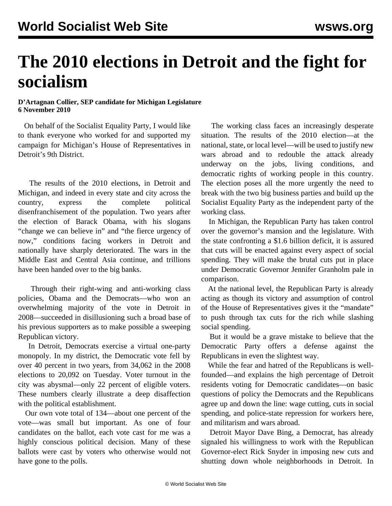## **The 2010 elections in Detroit and the fight for socialism**

## **D'Artagnan Collier, SEP candidate for Michigan Legislature 6 November 2010**

 On behalf of the Socialist Equality Party, I would like to thank everyone who worked for and supported my campaign for Michigan's House of Representatives in Detroit's 9th District.

 The results of the 2010 elections, in Detroit and Michigan, and indeed in every state and city across the country, express the complete political disenfranchisement of the population. Two years after the election of Barack Obama, with his slogans "change we can believe in" and "the fierce urgency of now," conditions facing workers in Detroit and nationally have sharply deteriorated. The wars in the Middle East and Central Asia continue, and trillions have been handed over to the big banks.

 Through their right-wing and anti-working class policies, Obama and the Democrats—who won an overwhelming majority of the vote in Detroit in 2008—succeeded in disillusioning such a broad base of his previous supporters as to make possible a sweeping Republican victory.

 In Detroit, Democrats exercise a virtual one-party monopoly. In my district, the Democratic vote fell by over 40 percent in two years, from 34,062 in the 2008 elections to 20,092 on Tuesday. Voter turnout in the city was abysmal—only 22 percent of eligible voters. These numbers clearly illustrate a deep disaffection with the political establishment.

 Our own vote total of 134—about one percent of the vote—was small but important. As one of four candidates on the ballot, each vote cast for me was a highly conscious political decision. Many of these ballots were cast by voters who otherwise would not have gone to the polls.

 The working class faces an increasingly desperate situation. The results of the 2010 election—at the national, state, or local level—will be used to justify new wars abroad and to redouble the attack already underway on the jobs, living conditions, and democratic rights of working people in this country. The election poses all the more urgently the need to break with the two big business parties and build up the Socialist Equality Party as the independent party of the working class.

 In Michigan, the Republican Party has taken control over the governor's mansion and the legislature. With the state confronting a \$1.6 billion deficit, it is assured that cuts will be enacted against every aspect of social spending. They will make the brutal cuts put in place under Democratic Governor Jennifer Granholm pale in comparison.

 At the national level, the Republican Party is already acting as though its victory and assumption of control of the House of Representatives gives it the "mandate" to push through tax cuts for the rich while slashing social spending.

 But it would be a grave mistake to believe that the Democratic Party offers a defense against the Republicans in even the slightest way.

 While the fear and hatred of the Republicans is wellfounded—and explains the high percentage of Detroit residents voting for Democratic candidates—on basic questions of policy the Democrats and the Republicans agree up and down the line: wage cutting, cuts in social spending, and police-state repression for workers here, and militarism and wars abroad.

 Detroit Mayor Dave Bing, a Democrat, has already signaled his willingness to work with the Republican Governor-elect Rick Snyder in imposing new cuts and shutting down whole neighborhoods in Detroit. In